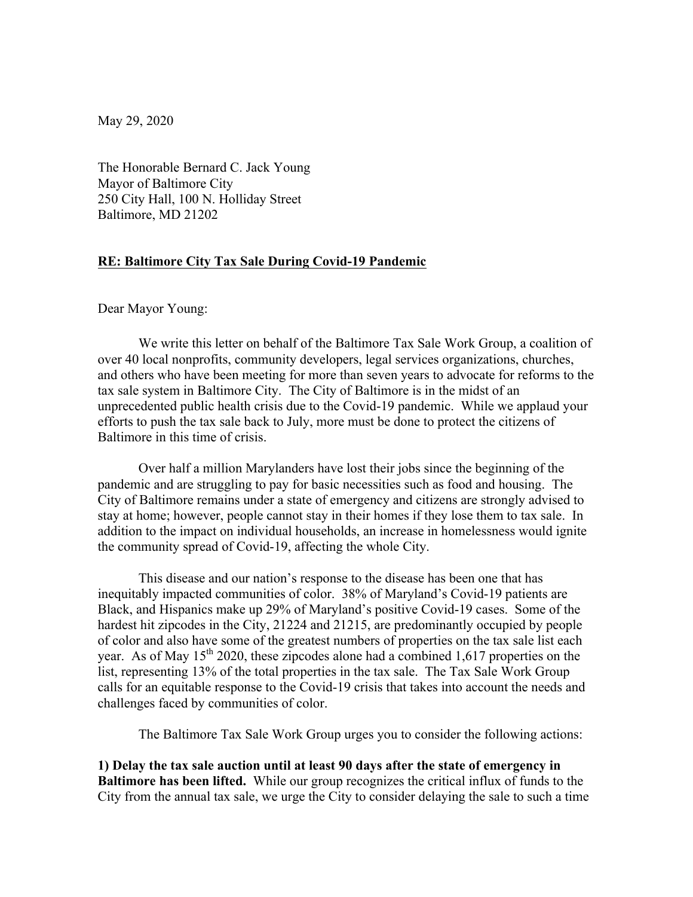May 29, 2020

The Honorable Bernard C. Jack Young Mayor of Baltimore City 250 City Hall, 100 N. Holliday Street Baltimore, MD 21202

## **RE: Baltimore City Tax Sale During Covid-19 Pandemic**

Dear Mayor Young:

We write this letter on behalf of the Baltimore Tax Sale Work Group, a coalition of over 40 local nonprofits, community developers, legal services organizations, churches, and others who have been meeting for more than seven years to advocate for reforms to the tax sale system in Baltimore City. The City of Baltimore is in the midst of an unprecedented public health crisis due to the Covid-19 pandemic. While we applaud your efforts to push the tax sale back to July, more must be done to protect the citizens of Baltimore in this time of crisis.

Over half a million Marylanders have lost their jobs since the beginning of the pandemic and are struggling to pay for basic necessities such as food and housing. The City of Baltimore remains under a state of emergency and citizens are strongly advised to stay at home; however, people cannot stay in their homes if they lose them to tax sale. In addition to the impact on individual households, an increase in homelessness would ignite the community spread of Covid-19, affecting the whole City.

This disease and our nation's response to the disease has been one that has inequitably impacted communities of color. 38% of Maryland's Covid-19 patients are Black, and Hispanics make up 29% of Maryland's positive Covid-19 cases. Some of the hardest hit zipcodes in the City, 21224 and 21215, are predominantly occupied by people of color and also have some of the greatest numbers of properties on the tax sale list each year. As of May  $15<sup>th</sup> 2020$ , these zipcodes alone had a combined 1,617 properties on the list, representing 13% of the total properties in the tax sale. The Tax Sale Work Group calls for an equitable response to the Covid-19 crisis that takes into account the needs and challenges faced by communities of color.

The Baltimore Tax Sale Work Group urges you to consider the following actions:

**1) Delay the tax sale auction until at least 90 days after the state of emergency in Baltimore has been lifted.** While our group recognizes the critical influx of funds to the City from the annual tax sale, we urge the City to consider delaying the sale to such a time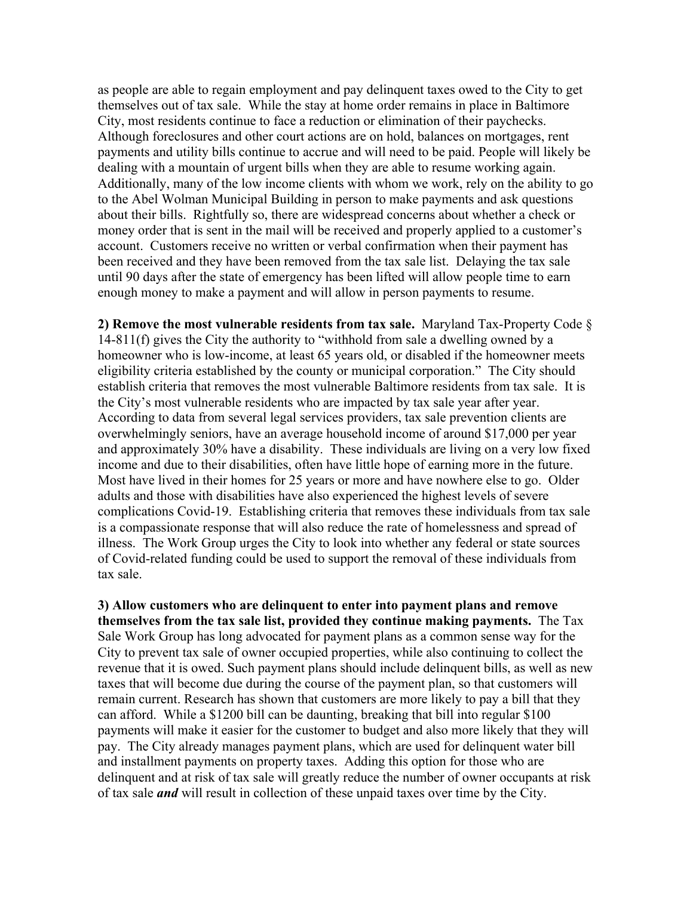as people are able to regain employment and pay delinquent taxes owed to the City to get themselves out of tax sale. While the stay at home order remains in place in Baltimore City, most residents continue to face a reduction or elimination of their paychecks. Although foreclosures and other court actions are on hold, balances on mortgages, rent payments and utility bills continue to accrue and will need to be paid. People will likely be dealing with a mountain of urgent bills when they are able to resume working again. Additionally, many of the low income clients with whom we work, rely on the ability to go to the Abel Wolman Municipal Building in person to make payments and ask questions about their bills. Rightfully so, there are widespread concerns about whether a check or money order that is sent in the mail will be received and properly applied to a customer's account. Customers receive no written or verbal confirmation when their payment has been received and they have been removed from the tax sale list. Delaying the tax sale until 90 days after the state of emergency has been lifted will allow people time to earn enough money to make a payment and will allow in person payments to resume.

**2) Remove the most vulnerable residents from tax sale.** Maryland Tax-Property Code § 14-811(f) gives the City the authority to "withhold from sale a dwelling owned by a homeowner who is low-income, at least 65 years old, or disabled if the homeowner meets eligibility criteria established by the county or municipal corporation." The City should establish criteria that removes the most vulnerable Baltimore residents from tax sale. It is the City's most vulnerable residents who are impacted by tax sale year after year. According to data from several legal services providers, tax sale prevention clients are overwhelmingly seniors, have an average household income of around \$17,000 per year and approximately 30% have a disability. These individuals are living on a very low fixed income and due to their disabilities, often have little hope of earning more in the future. Most have lived in their homes for 25 years or more and have nowhere else to go. Older adults and those with disabilities have also experienced the highest levels of severe complications Covid-19. Establishing criteria that removes these individuals from tax sale is a compassionate response that will also reduce the rate of homelessness and spread of illness. The Work Group urges the City to look into whether any federal or state sources of Covid-related funding could be used to support the removal of these individuals from tax sale.

**3) Allow customers who are delinquent to enter into payment plans and remove themselves from the tax sale list, provided they continue making payments.** The Tax Sale Work Group has long advocated for payment plans as a common sense way for the City to prevent tax sale of owner occupied properties, while also continuing to collect the revenue that it is owed. Such payment plans should include delinquent bills, as well as new taxes that will become due during the course of the payment plan, so that customers will remain current. Research has shown that customers are more likely to pay a bill that they can afford. While a \$1200 bill can be daunting, breaking that bill into regular \$100 payments will make it easier for the customer to budget and also more likely that they will pay. The City already manages payment plans, which are used for delinquent water bill and installment payments on property taxes. Adding this option for those who are delinquent and at risk of tax sale will greatly reduce the number of owner occupants at risk of tax sale *and* will result in collection of these unpaid taxes over time by the City.